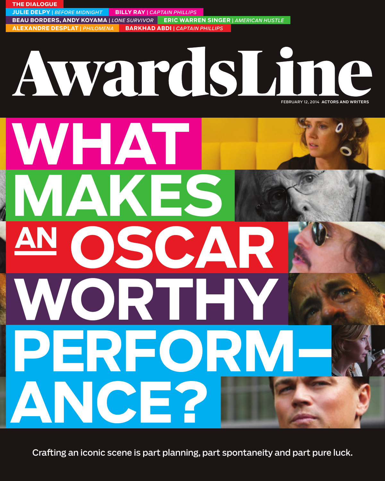**JULIE DELPY** *| BEFORE MIDNIGHT* **BILLY RAY** *| CAPTAIN PHILLIPS* **BEAU BORDERS, ANDY KOYAMA** *| LONE SURVIVOR* **ERIC WARREN SINGER** *| AMERICAN HUSTLE* **ALEXANDRE DESPLAT** *| PHILOMENA* **BARKHAD ABDI** *| CAPTAIN PHILLIPS* AwardsUine FEBRUARY 12, 2014 ACTORS AND WRITERS WHAT **MAKES OSCAR ANWORTHY PERFORM– PERFORMANCE?**

**THE DIALOGUE**

Crafting an iconic scene is part planning, part spontaneity and part pure luck.